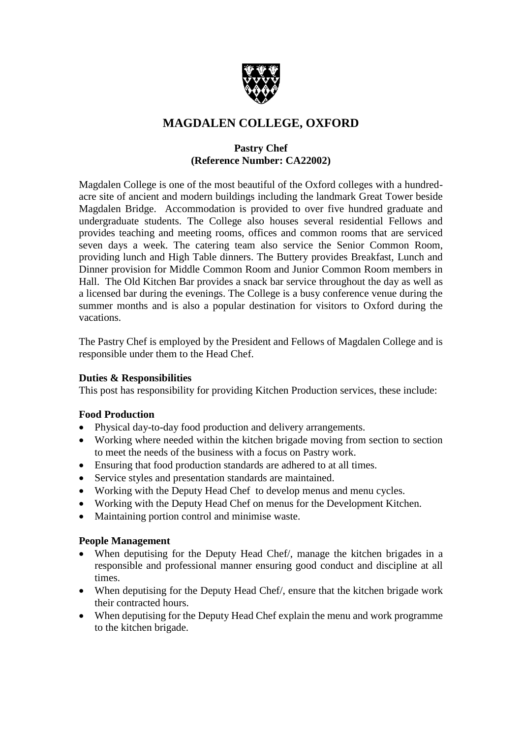

## **MAGDALEN COLLEGE, OXFORD**

## **Pastry Chef (Reference Number: CA22002)**

Magdalen College is one of the most beautiful of the Oxford colleges with a hundredacre site of ancient and modern buildings including the landmark Great Tower beside Magdalen Bridge. Accommodation is provided to over five hundred graduate and undergraduate students. The College also houses several residential Fellows and provides teaching and meeting rooms, offices and common rooms that are serviced seven days a week. The catering team also service the Senior Common Room, providing lunch and High Table dinners. The Buttery provides Breakfast, Lunch and Dinner provision for Middle Common Room and Junior Common Room members in Hall. The Old Kitchen Bar provides a snack bar service throughout the day as well as a licensed bar during the evenings. The College is a busy conference venue during the summer months and is also a popular destination for visitors to Oxford during the vacations.

The Pastry Chef is employed by the President and Fellows of Magdalen College and is responsible under them to the Head Chef.

#### **Duties & Responsibilities**

This post has responsibility for providing Kitchen Production services, these include:

## **Food Production**

- Physical day-to-day food production and delivery arrangements.
- Working where needed within the kitchen brigade moving from section to section to meet the needs of the business with a focus on Pastry work.
- Ensuring that food production standards are adhered to at all times.
- Service styles and presentation standards are maintained.
- Working with the Deputy Head Chef to develop menus and menu cycles.
- Working with the Deputy Head Chef on menus for the Development Kitchen.
- Maintaining portion control and minimise waste.

#### **People Management**

- When deputising for the Deputy Head Chef/, manage the kitchen brigades in a responsible and professional manner ensuring good conduct and discipline at all times.
- When deputising for the Deputy Head Chef/, ensure that the kitchen brigade work their contracted hours.
- When deputising for the Deputy Head Chef explain the menu and work programme to the kitchen brigade.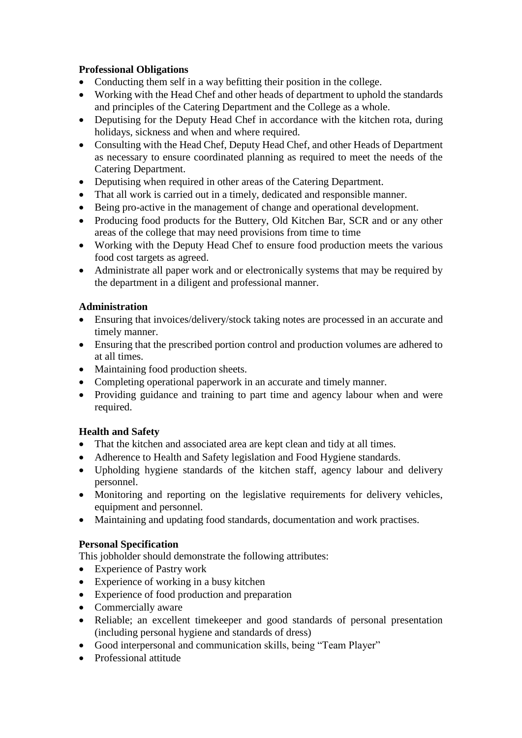## **Professional Obligations**

- Conducting them self in a way befitting their position in the college.
- Working with the Head Chef and other heads of department to uphold the standards and principles of the Catering Department and the College as a whole.
- Deputising for the Deputy Head Chef in accordance with the kitchen rota, during holidays, sickness and when and where required.
- Consulting with the Head Chef, Deputy Head Chef, and other Heads of Department as necessary to ensure coordinated planning as required to meet the needs of the Catering Department.
- Deputising when required in other areas of the Catering Department.
- That all work is carried out in a timely, dedicated and responsible manner.
- Being pro-active in the management of change and operational development.
- Producing food products for the Buttery, Old Kitchen Bar, SCR and or any other areas of the college that may need provisions from time to time
- Working with the Deputy Head Chef to ensure food production meets the various food cost targets as agreed.
- Administrate all paper work and or electronically systems that may be required by the department in a diligent and professional manner.

## **Administration**

- Ensuring that invoices/delivery/stock taking notes are processed in an accurate and timely manner.
- Ensuring that the prescribed portion control and production volumes are adhered to at all times.
- Maintaining food production sheets.
- Completing operational paperwork in an accurate and timely manner.
- Providing guidance and training to part time and agency labour when and were required.

## **Health and Safety**

- That the kitchen and associated area are kept clean and tidy at all times.
- Adherence to Health and Safety legislation and Food Hygiene standards.
- Upholding hygiene standards of the kitchen staff, agency labour and delivery personnel.
- Monitoring and reporting on the legislative requirements for delivery vehicles, equipment and personnel.
- Maintaining and updating food standards, documentation and work practises.

#### **Personal Specification**

This jobholder should demonstrate the following attributes:

- Experience of Pastry work
- Experience of working in a busy kitchen
- Experience of food production and preparation
- Commercially aware
- Reliable; an excellent timekeeper and good standards of personal presentation (including personal hygiene and standards of dress)
- Good interpersonal and communication skills, being "Team Player"
- Professional attitude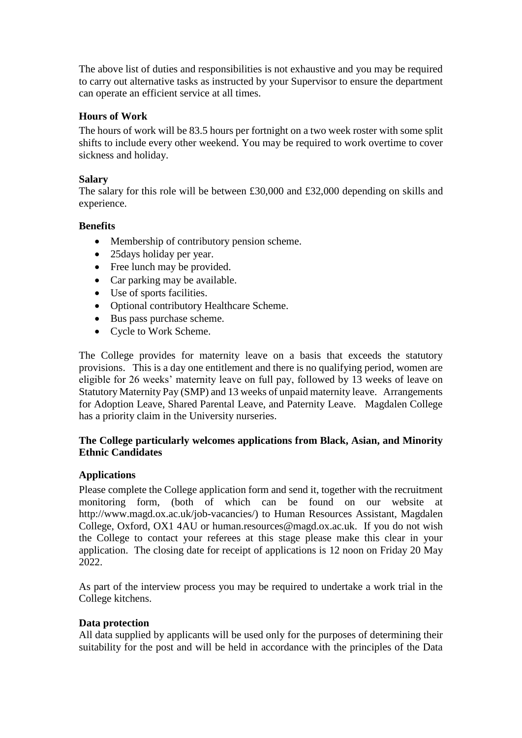The above list of duties and responsibilities is not exhaustive and you may be required to carry out alternative tasks as instructed by your Supervisor to ensure the department can operate an efficient service at all times.

#### **Hours of Work**

The hours of work will be 83.5 hours per fortnight on a two week roster with some split shifts to include every other weekend. You may be required to work overtime to cover sickness and holiday.

#### **Salary**

The salary for this role will be between £30,000 and £32,000 depending on skills and experience.

#### **Benefits**

- Membership of contributory pension scheme.
- 25 days holiday per year.
- Free lunch may be provided.
- Car parking may be available.
- Use of sports facilities.
- Optional contributory Healthcare Scheme.
- Bus pass purchase scheme.
- Cycle to Work Scheme.

The College provides for maternity leave on a basis that exceeds the statutory provisions. This is a day one entitlement and there is no qualifying period, women are eligible for 26 weeks' maternity leave on full pay, followed by 13 weeks of leave on Statutory Maternity Pay (SMP) and 13 weeks of unpaid maternity leave. Arrangements for Adoption Leave, Shared Parental Leave, and Paternity Leave. Magdalen College has a priority claim in the University nurseries.

#### **The College particularly welcomes applications from Black, Asian, and Minority Ethnic Candidates**

#### **Applications**

Please complete the College application form and send it, together with the recruitment monitoring form, (both of which can be found on our website at http://www.magd.ox.ac.uk/job-vacancies/) to Human Resources Assistant, Magdalen College, Oxford, OX1 4AU or human.resources@magd.ox.ac.uk. If you do not wish the College to contact your referees at this stage please make this clear in your application. The closing date for receipt of applications is 12 noon on Friday 20 May 2022.

As part of the interview process you may be required to undertake a work trial in the College kitchens.

#### **Data protection**

All data supplied by applicants will be used only for the purposes of determining their suitability for the post and will be held in accordance with the principles of the Data